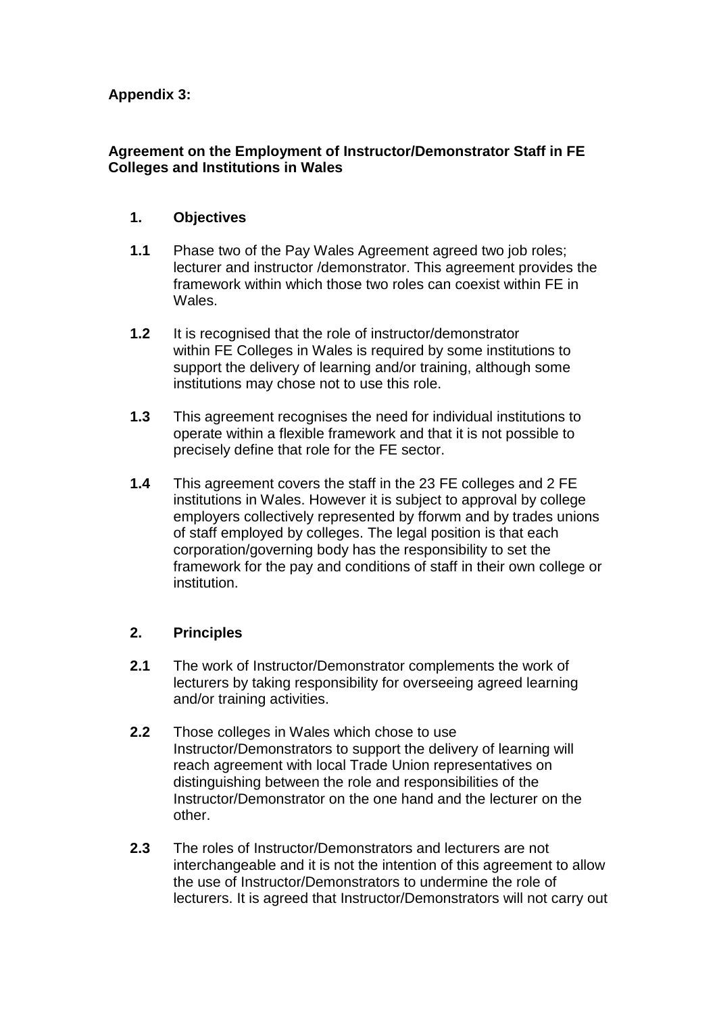# **Appendix 3:**

## **Agreement on the Employment of Instructor/Demonstrator Staff in FE Colleges and Institutions in Wales**

#### **1. Objectives**

- **1.1** Phase two of the Pay Wales Agreement agreed two job roles; lecturer and instructor /demonstrator. This agreement provides the framework within which those two roles can coexist within FE in **Wales**
- **1.2** It is recognised that the role of instructor/demonstrator within FE Colleges in Wales is required by some institutions to support the delivery of learning and/or training, although some institutions may chose not to use this role.
- **1.3** This agreement recognises the need for individual institutions to operate within a flexible framework and that it is not possible to precisely define that role for the FE sector.
- **1.4** This agreement covers the staff in the 23 FE colleges and 2 FE institutions in Wales. However it is subject to approval by college employers collectively represented by fforwm and by trades unions of staff employed by colleges. The legal position is that each corporation/governing body has the responsibility to set the framework for the pay and conditions of staff in their own college or institution.

# **2. Principles**

- **2.1** The work of Instructor/Demonstrator complements the work of lecturers by taking responsibility for overseeing agreed learning and/or training activities.
- **2.2** Those colleges in Wales which chose to use Instructor/Demonstrators to support the delivery of learning will reach agreement with local Trade Union representatives on distinguishing between the role and responsibilities of the Instructor/Demonstrator on the one hand and the lecturer on the other.
- **2.3** The roles of Instructor/Demonstrators and lecturers are not interchangeable and it is not the intention of this agreement to allow the use of Instructor/Demonstrators to undermine the role of lecturers. It is agreed that Instructor/Demonstrators will not carry out